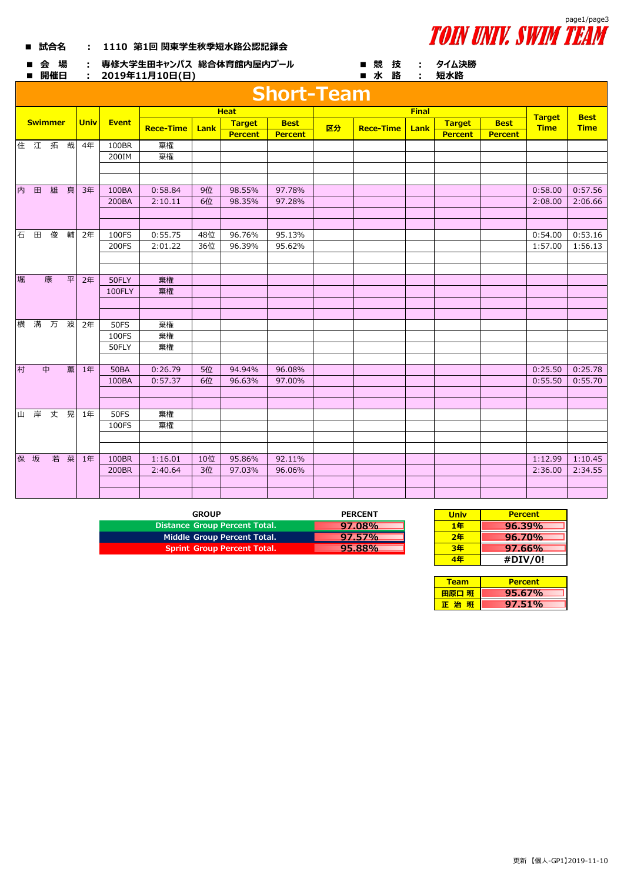## **■ 試合名 : 1110 第1回 関東学生秋季短水路公認記録会**





**タイム決勝**

■ 会 場 : 専修大学生田キャンパス 総合体育館内屋内プール ■ 競 技 : **専修大学生田キャンパス 総合体育館内屋内プール**

|   |     | ■ 開催日          |     | $\ddot{\phantom{a}}$ |                 | 2019年11月10日(日)   |      |                |                   |    | ■水路              | ÷            | 短水路            |                |                              |                            |
|---|-----|----------------|-----|----------------------|-----------------|------------------|------|----------------|-------------------|----|------------------|--------------|----------------|----------------|------------------------------|----------------------------|
|   |     |                |     |                      |                 |                  |      |                | <b>Short-Team</b> |    |                  |              |                |                |                              |                            |
|   |     |                |     |                      |                 |                  |      | <b>Heat</b>    |                   |    |                  | <b>Final</b> |                |                |                              |                            |
|   |     | <b>Swimmer</b> |     | <b>Univ</b>          | <b>Event</b>    | <b>Rece-Time</b> | Lank | <b>Target</b>  | <b>Best</b>       | 区分 | <b>Rece-Time</b> | Lank         | <b>Target</b>  | <b>Best</b>    | <b>Target</b><br><b>Time</b> | <b>Best</b><br><b>Time</b> |
|   |     |                |     |                      |                 |                  |      | <b>Percent</b> | <b>Percent</b>    |    |                  |              | <b>Percent</b> | <b>Percent</b> |                              |                            |
|   |     | 住江拓哉           |     | 4年                   | 100BR           | 棄権               |      |                |                   |    |                  |              |                |                |                              |                            |
|   |     |                |     |                      | 200IM           | 棄権               |      |                |                   |    |                  |              |                |                |                              |                            |
|   |     |                |     |                      |                 |                  |      |                |                   |    |                  |              |                |                |                              |                            |
|   |     |                |     |                      |                 |                  |      |                |                   |    |                  |              |                |                |                              |                            |
| 内 | 田   | 雄              | 真   | 3年                   | 100BA           | 0:58.84          | 9位   | 98.55%         | 97.78%            |    |                  |              |                |                | 0:58.00                      | 0:57.56                    |
|   |     |                |     |                      | 200BA           | 2:10.11          | 6位   | 98.35%         | 97.28%            |    |                  |              |                |                | 2:08.00                      | 2:06.66                    |
|   |     |                |     |                      |                 |                  |      |                |                   |    |                  |              |                |                |                              |                            |
|   |     |                |     |                      |                 |                  |      |                |                   |    |                  |              |                |                |                              |                            |
| 石 | 田   | 俊              | 輔   | 2年                   | 100FS           | 0:55.75          | 48位  | 96.76%         | 95.13%            |    |                  |              |                |                | 0:54.00                      | 0:53.16                    |
|   |     |                |     |                      | 200FS           | 2:01.22          | 36位  | 96.39%         | 95.62%            |    |                  |              |                |                | 1:57.00                      | 1:56.13                    |
|   |     |                |     |                      |                 |                  |      |                |                   |    |                  |              |                |                |                              |                            |
|   |     | 康              |     |                      |                 |                  |      |                |                   |    |                  |              |                |                |                              |                            |
| 堀 |     |                | 平   | 2年                   | 50FLY<br>100FLY | 棄権<br>棄権         |      |                |                   |    |                  |              |                |                |                              |                            |
|   |     |                |     |                      |                 |                  |      |                |                   |    |                  |              |                |                |                              |                            |
|   |     |                |     |                      |                 |                  |      |                |                   |    |                  |              |                |                |                              |                            |
|   | 横 溝 | 万              | 波   | 2年                   | <b>50FS</b>     | 棄権               |      |                |                   |    |                  |              |                |                |                              |                            |
|   |     |                |     |                      | 100FS           | 棄権               |      |                |                   |    |                  |              |                |                |                              |                            |
|   |     |                |     |                      | 50FLY           | 棄権               |      |                |                   |    |                  |              |                |                |                              |                            |
|   |     |                |     |                      |                 |                  |      |                |                   |    |                  |              |                |                |                              |                            |
| 村 |     | 中              | 薫   | 1年                   | <b>50BA</b>     | 0:26.79          | 5位   | 94.94%         | 96.08%            |    |                  |              |                |                | 0:25.50                      | 0:25.78                    |
|   |     |                |     |                      | 100BA           | 0:57.37          | 6位   | 96.63%         | 97.00%            |    |                  |              |                |                | 0:55.50                      | 0:55.70                    |
|   |     |                |     |                      |                 |                  |      |                |                   |    |                  |              |                |                |                              |                            |
|   |     |                |     |                      |                 |                  |      |                |                   |    |                  |              |                |                |                              |                            |
|   | 山 岸 |                | 丈 晃 | 1年                   | <b>50FS</b>     | 棄権               |      |                |                   |    |                  |              |                |                |                              |                            |
|   |     |                |     |                      | 100FS           | 棄権               |      |                |                   |    |                  |              |                |                |                              |                            |
|   |     |                |     |                      |                 |                  |      |                |                   |    |                  |              |                |                |                              |                            |
|   |     |                |     |                      |                 |                  |      |                |                   |    |                  |              |                |                |                              |                            |
|   | 保 坂 |                | 若菜  | 1年                   | 100BR           | 1:16.01          | 10位  | 95.86%         | 92.11%            |    |                  |              |                |                | 1:12.99                      | 1:10.45                    |
|   |     |                |     |                      | 200BR           | 2:40.64          | 3位   | 97.03%         | 96.06%            |    |                  |              |                |                | 2:36.00                      | 2:34.55                    |
|   |     |                |     |                      |                 |                  |      |                |                   |    |                  |              |                |                |                              |                            |
|   |     |                |     |                      |                 |                  |      |                |                   |    |                  |              |                |                |                              |                            |

| <b>GROUP</b>                       | <b>PERCENT</b> | Univ | <b>Percent</b> |
|------------------------------------|----------------|------|----------------|
| Distance Group Percent Total.      | 97.08%         | 1年   | 96.39%         |
| Middle Group Percent Total.        | $97.57\%$      | 2年   | 96.70%         |
| <b>Sprint Group Percent Total.</b> | 95.88%         | 3年   | 97.66%         |

| <b>PERCENT</b> | <b>Univ</b> | <b>Percent</b> |
|----------------|-------------|----------------|
| <b>97.08%</b>  | 1年          | $96.39\%$      |
| 97.57%         | 2年          | $96.70\%$      |
| 95.88%         | 3年          | $97.66\%$      |
|                | 4年          | #DIV/0!        |

| Team  | <b>Percent</b> |
|-------|----------------|
| 田原口 班 | 95.67%         |
| سمعت  | 97.51%         |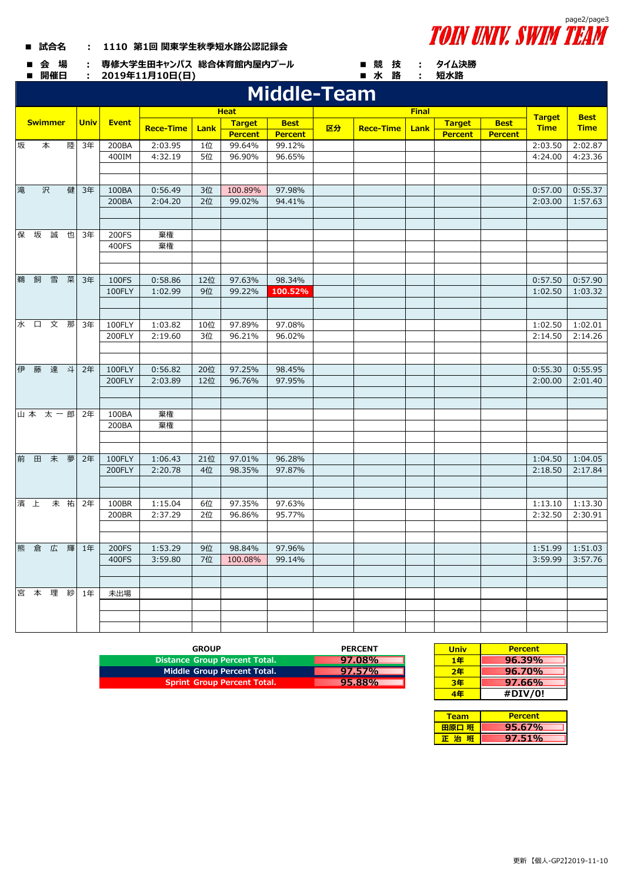## **■ 試合名 : 1110 第1回 関東学生秋季短水路公認記録会**

■ 会 場 : 専修大学生田キャンパス 総合体育館内屋内プール ■ 競 技 :



**タイム決勝 短水路**

■ 開催日 : 2019年11月10日(日) ■ 水 路 :

|   |                | <b>Middle-Team</b> |             |              |                  |      |                |                |    |                  |              |                |                |               |             |
|---|----------------|--------------------|-------------|--------------|------------------|------|----------------|----------------|----|------------------|--------------|----------------|----------------|---------------|-------------|
|   |                |                    |             |              |                  |      | <b>Heat</b>    |                |    |                  | <b>Final</b> |                |                |               |             |
|   | <b>Swimmer</b> |                    | <b>Univ</b> | <b>Event</b> |                  |      | <b>Target</b>  | <b>Best</b>    |    |                  |              | <b>Target</b>  | <b>Best</b>    | <b>Target</b> | <b>Best</b> |
|   |                |                    |             |              | <b>Rece-Time</b> | Lank | <b>Percent</b> | <b>Percent</b> | 区分 | <b>Rece-Time</b> | Lank         | <b>Percent</b> | <b>Percent</b> | <b>Time</b>   | <b>Time</b> |
| 坂 | 本              | 陸                  | 3年          | 200BA        | 2:03.95          | 1位   | 99.64%         | 99.12%         |    |                  |              |                |                | 2:03.50       | 2:02.87     |
|   |                |                    |             | 400IM        | 4:32.19          | 5位   | 96.90%         | 96.65%         |    |                  |              |                |                | 4:24.00       | 4:23.36     |
|   |                |                    |             |              |                  |      |                |                |    |                  |              |                |                |               |             |
|   |                |                    |             |              |                  |      |                |                |    |                  |              |                |                |               |             |
| 滝 | 沢              | 健                  | 3年          | 100BA        | 0:56.49          | 3位   | 100.89%        | 97.98%         |    |                  |              |                |                | 0:57.00       | 0:55.37     |
|   |                |                    |             | 200BA        | 2:04.20          | 2位   | 99.02%         | 94.41%         |    |                  |              |                |                | 2:03.00       | 1:57.63     |
|   |                |                    |             |              |                  |      |                |                |    |                  |              |                |                |               |             |
|   |                |                    |             |              |                  |      |                |                |    |                  |              |                |                |               |             |
|   | 保 坂<br>誠       | 也                  | 3年          | 200FS        | 棄権               |      |                |                |    |                  |              |                |                |               |             |
|   |                |                    |             | 400FS        | 棄権               |      |                |                |    |                  |              |                |                |               |             |
|   |                |                    |             |              |                  |      |                |                |    |                  |              |                |                |               |             |
| 鵜 | 雪<br>飼         | 菜                  | 3年          | 100FS        | 0:58.86          | 12位  | 97.63%         | 98.34%         |    |                  |              |                |                | 0:57.50       | 0:57.90     |
|   |                |                    |             | 100FLY       | 1:02.99          | 9位   | 99.22%         | 100.52%        |    |                  |              |                |                | 1:02.50       | 1:03.32     |
|   |                |                    |             |              |                  |      |                |                |    |                  |              |                |                |               |             |
|   |                |                    |             |              |                  |      |                |                |    |                  |              |                |                |               |             |
|   | 水口文            | 那                  | 3年          | 100FLY       | 1:03.82          | 10位  | 97.89%         | 97.08%         |    |                  |              |                |                | 1:02.50       | 1:02.01     |
|   |                |                    |             | 200FLY       | 2:19.60          | 3位   | 96.21%         | 96.02%         |    |                  |              |                |                | 2:14.50       | 2:14.26     |
|   |                |                    |             |              |                  |      |                |                |    |                  |              |                |                |               |             |
|   |                |                    |             |              |                  |      |                |                |    |                  |              |                |                |               |             |
|   | 伊 藤<br>達       | 斗                  | 2年          | 100FLY       | 0:56.82          | 20位  | 97.25%         | 98.45%         |    |                  |              |                |                | 0:55.30       | 0:55.95     |
|   |                |                    |             | 200FLY       | 2:03.89          | 12位  | 96.76%         | 97.95%         |    |                  |              |                |                | 2:00.00       | 2:01.40     |
|   |                |                    |             |              |                  |      |                |                |    |                  |              |                |                |               |             |
|   |                |                    |             |              |                  |      |                |                |    |                  |              |                |                |               |             |
|   | 山本 太一郎         |                    | 2年          | 100BA        | 棄権               |      |                |                |    |                  |              |                |                |               |             |
|   |                |                    |             | 200BA        | 棄権               |      |                |                |    |                  |              |                |                |               |             |
|   |                |                    |             |              |                  |      |                |                |    |                  |              |                |                |               |             |
|   | 前田未            | 夢                  | 2年          | 100FLY       | 1:06.43          | 21位  | 97.01%         | 96.28%         |    |                  |              |                |                | 1:04.50       | 1:04.05     |
|   |                |                    |             | 200FLY       | 2:20.78          | 4位   | 98.35%         | 97.87%         |    |                  |              |                |                | 2:18.50       | 2:17.84     |
|   |                |                    |             |              |                  |      |                |                |    |                  |              |                |                |               |             |
|   |                |                    |             |              |                  |      |                |                |    |                  |              |                |                |               |             |
|   | 濱 上            | 未祐                 | 2年          | 100BR        | 1:15.04          | 6位   | 97.35%         | 97.63%         |    |                  |              |                |                | 1:13.10       | 1:13.30     |
|   |                |                    |             | 200BR        | 2:37.29          | 2位   | 96.86%         | 95.77%         |    |                  |              |                |                | 2:32.50       | 2:30.91     |
|   |                |                    |             |              |                  |      |                |                |    |                  |              |                |                |               |             |
|   |                |                    |             |              |                  |      |                |                |    |                  |              |                |                |               |             |
|   | 熊倉<br>広        | 輝                  | 1年          | 200FS        | 1:53.29          | 9位   | 98.84%         | 97.96%         |    |                  |              |                |                | 1:51.99       | 1:51.03     |
|   |                |                    |             | 400FS        | 3:59.80          | 7位   | 100.08%        | 99.14%         |    |                  |              |                |                | 3:59.99       | 3:57.76     |
|   |                |                    |             |              |                  |      |                |                |    |                  |              |                |                |               |             |
|   |                |                    |             |              |                  |      |                |                |    |                  |              |                |                |               |             |
|   | 宮本<br>理        | 紗                  | 1年          | 未出場          |                  |      |                |                |    |                  |              |                |                |               |             |
|   |                |                    |             |              |                  |      |                |                |    |                  |              |                |                |               |             |
|   |                |                    |             |              |                  |      |                |                |    |                  |              |                |                |               |             |

| <b>GROUP</b>                       | <b>PERCENT</b> | <b>Univ</b> | <b>Percent</b> |
|------------------------------------|----------------|-------------|----------------|
| Distance Group Percent Total.      | 97.08%         | 1年          | 96.39%         |
| Middle Group Percent Total.        | 97.57%         | 2年          | 96.70%         |
| <b>Sprint Group Percent Total.</b> | 95.88%         | 3年          | 97.66%         |
|                                    |                |             |                |

| <b>PERCENT</b> | <b>Univ</b> | <b>Percent</b> |
|----------------|-------------|----------------|
| 97.08%         | 1年          | $96.39\%$      |
| 97.57%         | 2年          | 96.70%         |
| 95.88%         | 3年          | $97.66\%$      |
|                | ۱Æ          | #DIV/0!        |

| Team  | <b>Percent</b> |
|-------|----------------|
| 田原口 班 | 95.67%         |
| - 18  | 97.51%         |